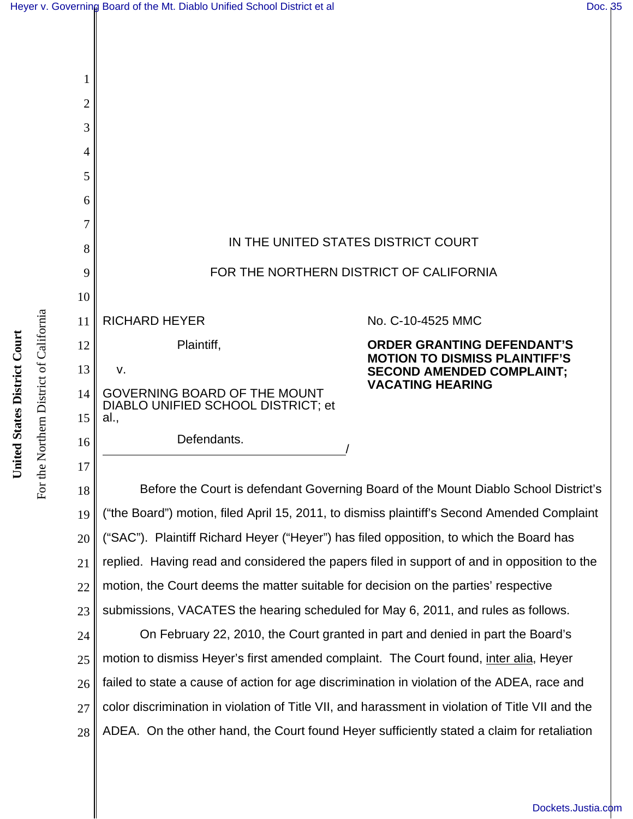

18 19 20 21 22 23 Before the Court is defendant Governing Board of the Mount Diablo School District's ("the Board") motion, filed April 15, 2011, to dismiss plaintiff's Second Amended Complaint ("SAC"). Plaintiff Richard Heyer ("Heyer") has filed opposition, to which the Board has replied. Having read and considered the papers filed in support of and in opposition to the motion, the Court deems the matter suitable for decision on the parties' respective submissions, VACATES the hearing scheduled for May 6, 2011, and rules as follows.

24 25 26 27 28 On February 22, 2010, the Court granted in part and denied in part the Board's motion to dismiss Heyer's first amended complaint. The Court found, inter alia, Heyer failed to state a cause of action for age discrimination in violation of the ADEA, race and color discrimination in violation of Title VII, and harassment in violation of Title VII and the ADEA. On the other hand, the Court found Heyer sufficiently stated a claim for retaliation

For the Northern District of California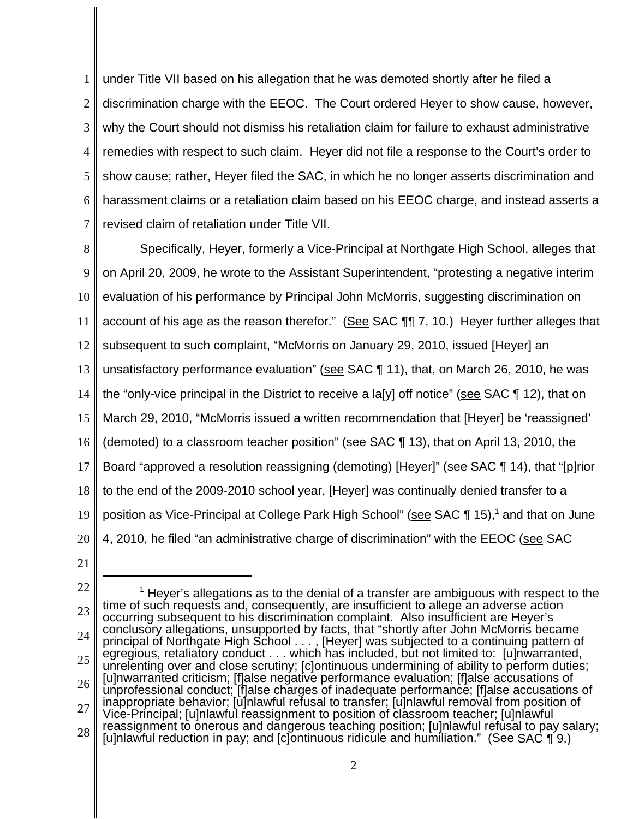1 2 3 4 5 6 7 under Title VII based on his allegation that he was demoted shortly after he filed a discrimination charge with the EEOC. The Court ordered Heyer to show cause, however, why the Court should not dismiss his retaliation claim for failure to exhaust administrative remedies with respect to such claim. Heyer did not file a response to the Court's order to show cause; rather, Heyer filed the SAC, in which he no longer asserts discrimination and harassment claims or a retaliation claim based on his EEOC charge, and instead asserts a revised claim of retaliation under Title VII.

8 9 10 11 12 13 14 15 16 17 18 19 20 Specifically, Heyer, formerly a Vice-Principal at Northgate High School, alleges that on April 20, 2009, he wrote to the Assistant Superintendent, "protesting a negative interim evaluation of his performance by Principal John McMorris, suggesting discrimination on account of his age as the reason therefor." (See SAC ¶¶ 7, 10.) Heyer further alleges that subsequent to such complaint, "McMorris on January 29, 2010, issued [Heyer] an unsatisfactory performance evaluation" (see SAC ¶ 11), that, on March 26, 2010, he was the "only-vice principal in the District to receive a la[y] off notice" (see SAC ¶ 12), that on March 29, 2010, "McMorris issued a written recommendation that [Heyer] be 'reassigned' (demoted) to a classroom teacher position" (see SAC ¶ 13), that on April 13, 2010, the Board "approved a resolution reassigning (demoting) [Heyer]" (see SAC ¶ 14), that "[p]rior to the end of the 2009-2010 school year, [Heyer] was continually denied transfer to a position as Vice-Principal at College Park High School" (see SAC ¶ 15),<sup>1</sup> and that on June 4, 2010, he filed "an administrative charge of discrimination" with the EEOC (see SAC

21

<sup>22</sup> 23 24 25 26 27 28  $<sup>1</sup>$  Heyer's allegations as to the denial of a transfer are ambiguous with respect to the</sup> time of such requests and, consequently, are insufficient to allege an adverse action occurring subsequent to his discrimination complaint. Also insufficient are Heyer's conclusory allegations, unsupported by facts, that "shortly after John McMorris became principal of Northgate High School . . . , [Heyer] was subjected to a continuing pattern of egregious, retaliatory conduct . . . which has included, but not limited to: [u]nwarranted, unrelenting over and close scrutiny; [c]ontinuous undermining of ability to perform duties; [u]nwarranted criticism; [f]alse negative performance evaluation; [f]alse accusations of unprofessional conduct; [f]alse charges of inadequate performance; [f]alse accusations of inappropriate behavior; [u]nlawful refusal to transfer; [u]nlawful removal from position of Vice-Principal; [u]nlawful reassignment to position of classroom teacher; [u]nlawful reassignment to onerous and dangerous teaching position; [u]nlawful refusal to pay salary; [u]nlawful reduction in pay; and [c]ontinuous ridicule and humiliation." (See SAC  $\P$  9.)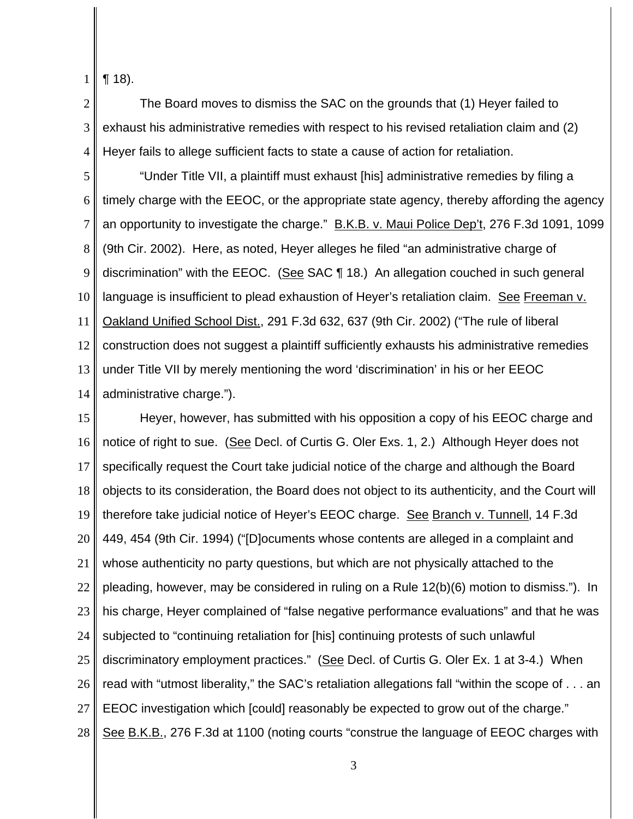1 ¶ 18).

2 3 4 The Board moves to dismiss the SAC on the grounds that (1) Heyer failed to exhaust his administrative remedies with respect to his revised retaliation claim and (2) Heyer fails to allege sufficient facts to state a cause of action for retaliation.

5 6 7 8 9 10 11 12 13 14 "Under Title VII, a plaintiff must exhaust [his] administrative remedies by filing a timely charge with the EEOC, or the appropriate state agency, thereby affording the agency an opportunity to investigate the charge." B.K.B. v. Maui Police Dep't, 276 F.3d 1091, 1099 (9th Cir. 2002). Here, as noted, Heyer alleges he filed "an administrative charge of discrimination" with the EEOC. (See SAC 118.) An allegation couched in such general language is insufficient to plead exhaustion of Heyer's retaliation claim. See Freeman v. Oakland Unified School Dist., 291 F.3d 632, 637 (9th Cir. 2002) ("The rule of liberal construction does not suggest a plaintiff sufficiently exhausts his administrative remedies under Title VII by merely mentioning the word 'discrimination' in his or her EEOC administrative charge.").

15 16 17 18 19 20 21 22 23 24 25 26 27 28 Heyer, however, has submitted with his opposition a copy of his EEOC charge and notice of right to sue. (See Decl. of Curtis G. Oler Exs. 1, 2.) Although Heyer does not specifically request the Court take judicial notice of the charge and although the Board objects to its consideration, the Board does not object to its authenticity, and the Court will therefore take judicial notice of Heyer's EEOC charge. See Branch v. Tunnell, 14 F.3d 449, 454 (9th Cir. 1994) ("[D]ocuments whose contents are alleged in a complaint and whose authenticity no party questions, but which are not physically attached to the pleading, however, may be considered in ruling on a Rule 12(b)(6) motion to dismiss."). In his charge, Heyer complained of "false negative performance evaluations" and that he was subjected to "continuing retaliation for [his] continuing protests of such unlawful discriminatory employment practices." (See Decl. of Curtis G. Oler Ex. 1 at 3-4.) When read with "utmost liberality," the SAC's retaliation allegations fall "within the scope of . . . an EEOC investigation which [could] reasonably be expected to grow out of the charge." See B.K.B., 276 F.3d at 1100 (noting courts "construe the language of EEOC charges with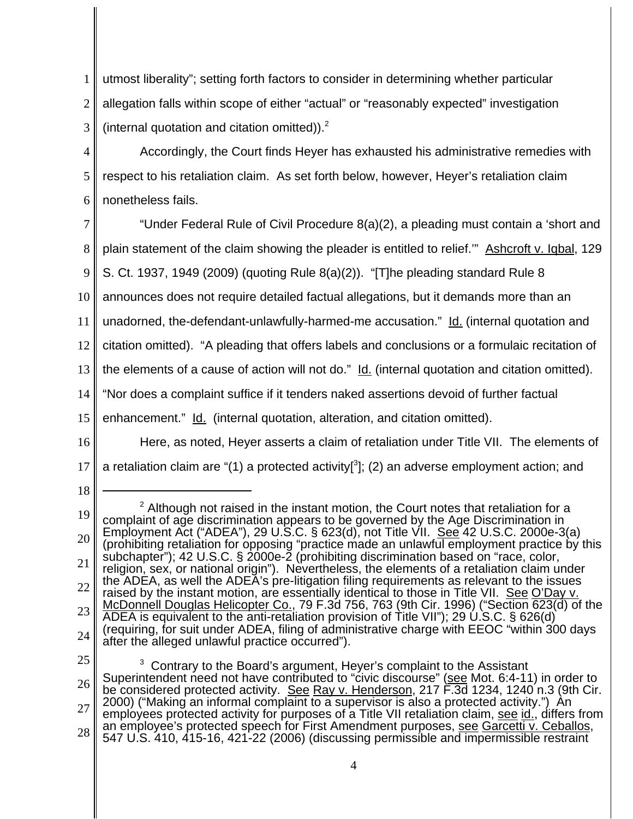1 2 3 utmost liberality"; setting forth factors to consider in determining whether particular allegation falls within scope of either "actual" or "reasonably expected" investigation (internal quotation and citation omitted)). $<sup>2</sup>$ </sup>

4

5

6

Accordingly, the Court finds Heyer has exhausted his administrative remedies with respect to his retaliation claim. As set forth below, however, Heyer's retaliation claim nonetheless fails.

7 8 9 10 11 12 13 14 "Under Federal Rule of Civil Procedure 8(a)(2), a pleading must contain a 'short and plain statement of the claim showing the pleader is entitled to relief.'" Ashcroft v. Iqbal, 129 S. Ct. 1937, 1949 (2009) (quoting Rule 8(a)(2)). "[T]he pleading standard Rule 8 announces does not require detailed factual allegations, but it demands more than an unadorned, the-defendant-unlawfully-harmed-me accusation." Id. (internal quotation and citation omitted). "A pleading that offers labels and conclusions or a formulaic recitation of the elements of a cause of action will not do." Id. (internal quotation and citation omitted). "Nor does a complaint suffice if it tenders naked assertions devoid of further factual

15

enhancement." Id. (internal quotation, alteration, and citation omitted).

16

17 Here, as noted, Heyer asserts a claim of retaliation under Title VII. The elements of a retaliation claim are "(1) a protected activity[ $3$ ]; (2) an adverse employment action; and

18

25

26 27 28  $3$  Contrary to the Board's argument, Heyer's complaint to the Assistant Superintendent need not have contributed to "civic discourse" (see Mot. 6:4-11) in order to be considered protected activity. See Ray v. Henderson, 217 F.3d 1234, 1240 n.3 (9th Cir. 2000) ("Making an informal complaint to a supervisor is also a protected activity.") An employees protected activity for purposes of a Title VII retaliation claim, see id., differs from an employee's protected speech for First Amendment purposes, see Garcetti v. Ceballos,<br>547 U.S. 410, 415-16, 421-22 (2006) (discussing permissible and impermissible restraint

4

<sup>19</sup> 20 21 22 23 24  $2$  Although not raised in the instant motion, the Court notes that retaliation for a complaint of age discrimination appears to be governed by the Age Discrimination in Employment Act ("ADEA"), 29 U.S.C. § 623(d), not Title VII. See 42 U.S.C. 2000e-3(a) (prohibiting retaliation for opposing "practice made an unlawful employment practice by this subchapter"); 42 U.S.C. § 2000e-2 (prohibiting discrimination based on "race, color, religion, sex, or national origin"). Nevertheless, the elements of a retaliation claim under the ADEA, as well the ADEA's pre-litigation filing requirements as relevant to the issues raised by the instant motion, are essentially identical to those in Title VII. See O'Day v. McDonnell Douglas Helicopter Co., 79 F.3d 756, 763 (9th Cir. 1996) ("Section 623(d) of the ADEA is equivalent to the anti-retaliation provision of Title VII"); 29 U.S.C. § 626(d) (requiring, for suit under ADEA, filing of administrative charge with EEOC "within 300 days after the alleged unlawful practice occurred").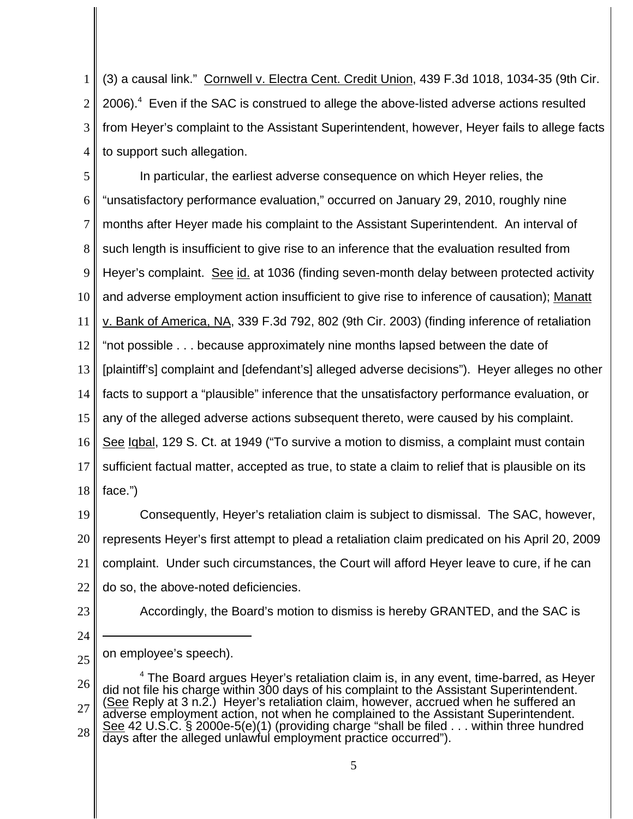1 2 3 4 (3) a causal link." Cornwell v. Electra Cent. Credit Union, 439 F.3d 1018, 1034-35 (9th Cir. 2006). $4$  Even if the SAC is construed to allege the above-listed adverse actions resulted from Heyer's complaint to the Assistant Superintendent, however, Heyer fails to allege facts to support such allegation.

5 6 7 8 9 10 11 12 13 14 15 16 17 18 In particular, the earliest adverse consequence on which Heyer relies, the "unsatisfactory performance evaluation," occurred on January 29, 2010, roughly nine months after Heyer made his complaint to the Assistant Superintendent. An interval of such length is insufficient to give rise to an inference that the evaluation resulted from Heyer's complaint. See id. at 1036 (finding seven-month delay between protected activity and adverse employment action insufficient to give rise to inference of causation); Manatt v. Bank of America, NA, 339 F.3d 792, 802 (9th Cir. 2003) (finding inference of retaliation "not possible . . . because approximately nine months lapsed between the date of [plaintiff's] complaint and [defendant's] alleged adverse decisions"). Heyer alleges no other facts to support a "plausible" inference that the unsatisfactory performance evaluation, or any of the alleged adverse actions subsequent thereto, were caused by his complaint. See Iqbal, 129 S. Ct. at 1949 ("To survive a motion to dismiss, a complaint must contain sufficient factual matter, accepted as true, to state a claim to relief that is plausible on its face.")

19 20 21 22 Consequently, Heyer's retaliation claim is subject to dismissal. The SAC, however, represents Heyer's first attempt to plead a retaliation claim predicated on his April 20, 2009 complaint. Under such circumstances, the Court will afford Heyer leave to cure, if he can do so, the above-noted deficiencies.

23

24

Accordingly, the Board's motion to dismiss is hereby GRANTED, and the SAC is

25 on employee's speech).

<sup>26</sup> 27 28  $<sup>4</sup>$  The Board argues Heyer's retaliation claim is, in any event, time-barred, as Heyer</sup> did not file his charge within 300 days of his complaint to the Assistant Superintendent. (See Reply at 3 n.2.) Heyer's retaliation claim, however, accrued when he suffered an adverse employment action, not when he complained to the Assistant Superintendent. See 42 U.S.C. § 2000e-5(e)(1) (providing charge "shall be filed . . . within three hundred days after the alleged unlawful employment practice occurred").